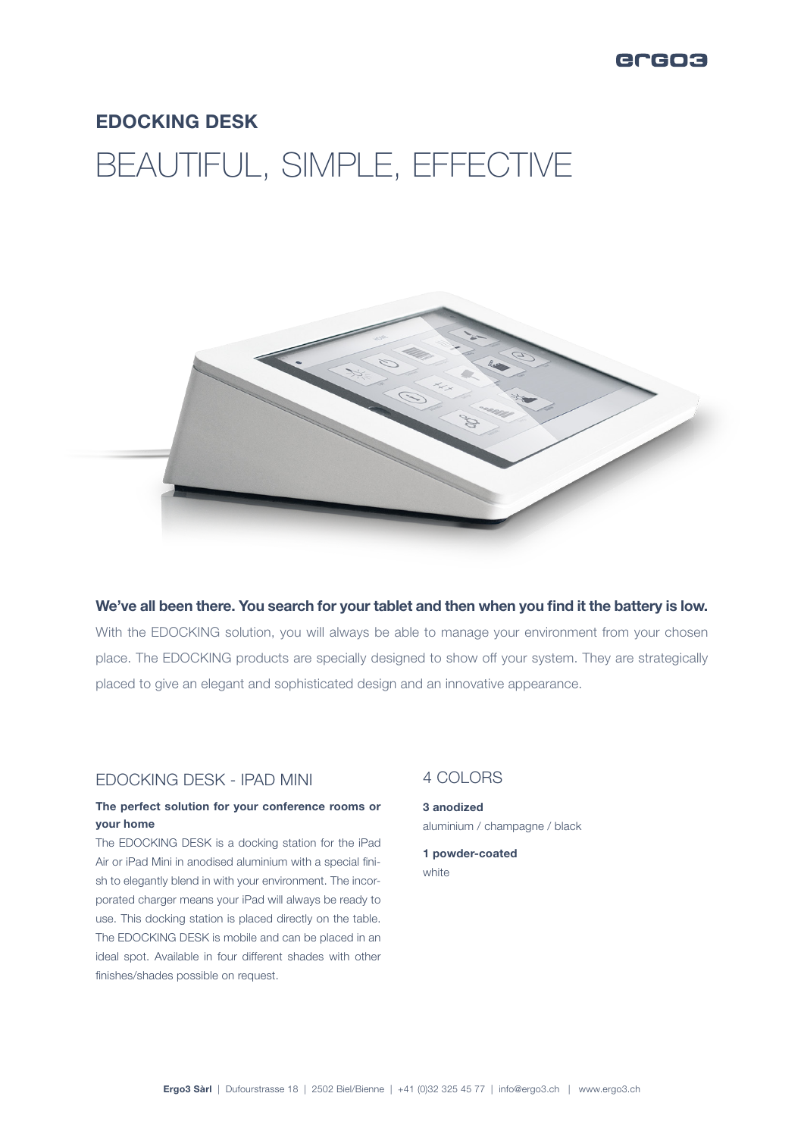

# EDOCKING DESK

# BEAUTIFUL, SIMPLE, EFFECTIVE



We've all been there. You search for your tablet and then when you find it the battery is low. With the EDOCKING solution, you will always be able to manage your environment from your chosen place. The EDOCKING products are specially designed to show off your system. They are strategically placed to give an elegant and sophisticated design and an innovative appearance.

## EDOCKING DESK - IPAD MINI

#### The perfect solution for your conference rooms or your home

The EDOCKING DESK is a docking station for the iPad Air or iPad Mini in anodised aluminium with a special finish to elegantly blend in with your environment. The incorporated charger means your iPad will always be ready to use. This docking station is placed directly on the table. The EDOCKING DESK is mobile and can be placed in an ideal spot. Available in four different shades with other finishes/shades possible on request.

### 4 COLORS

3 anodized aluminium / champagne / black

1 powder-coated white